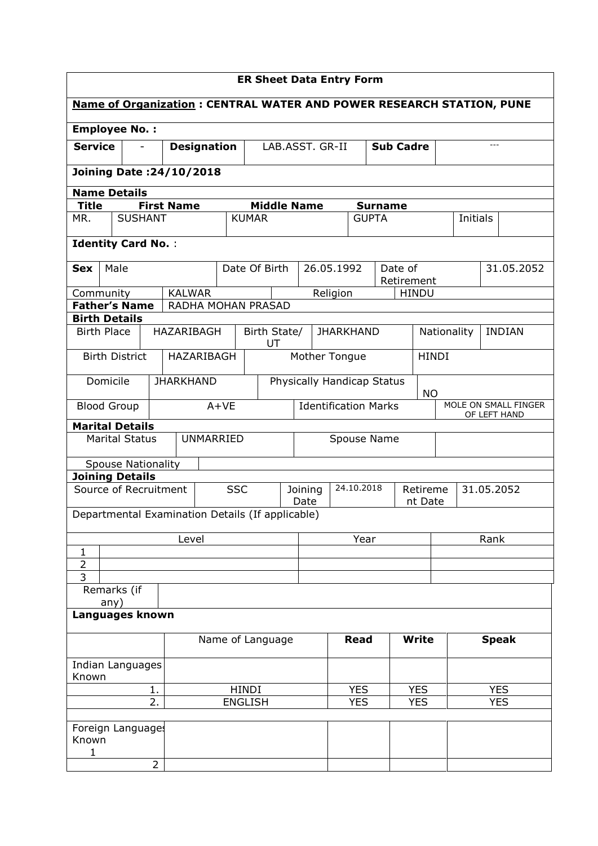| <b>ER Sheet Data Entry Form</b>     |                                                  |                   |                    |                |                                         |                                                                     |                  |                |                  |             |                                                                      |  |
|-------------------------------------|--------------------------------------------------|-------------------|--------------------|----------------|-----------------------------------------|---------------------------------------------------------------------|------------------|----------------|------------------|-------------|----------------------------------------------------------------------|--|
|                                     |                                                  |                   |                    |                |                                         |                                                                     |                  |                |                  |             | Name of Organization: CENTRAL WATER AND POWER RESEARCH STATION, PUNE |  |
|                                     | <b>Employee No.:</b>                             |                   |                    |                |                                         |                                                                     |                  |                |                  |             |                                                                      |  |
| <b>Service</b>                      |                                                  |                   | <b>Designation</b> |                |                                         | LAB.ASST. GR-II                                                     |                  |                | <b>Sub Cadre</b> |             |                                                                      |  |
|                                     | <b>Joining Date: 24/10/2018</b>                  |                   |                    |                |                                         |                                                                     |                  |                |                  |             |                                                                      |  |
|                                     | <b>Name Details</b>                              |                   |                    |                |                                         |                                                                     |                  |                |                  |             |                                                                      |  |
| <b>Title</b>                        |                                                  | <b>First Name</b> |                    |                | <b>Middle Name</b>                      |                                                                     |                  | <b>Surname</b> |                  |             |                                                                      |  |
| MR.                                 | <b>SUSHANT</b>                                   |                   |                    | <b>KUMAR</b>   |                                         |                                                                     |                  | <b>GUPTA</b>   |                  | Initials    |                                                                      |  |
|                                     | <b>Identity Card No.:</b>                        |                   |                    |                |                                         |                                                                     |                  |                |                  |             |                                                                      |  |
| <b>Sex</b>                          | Male                                             |                   |                    | Date Of Birth  |                                         |                                                                     | 26.05.1992       |                | Date of          |             | 31.05.2052                                                           |  |
|                                     |                                                  |                   |                    |                |                                         |                                                                     |                  |                | Retirement       |             |                                                                      |  |
| Community                           | <b>Father's Name</b>                             | <b>KALWAR</b>     |                    |                |                                         |                                                                     | Religion         |                | <b>HINDU</b>     |             |                                                                      |  |
|                                     | <b>Birth Details</b>                             |                   | RADHA MOHAN PRASAD |                |                                         |                                                                     |                  |                |                  |             |                                                                      |  |
| <b>Birth Place</b>                  |                                                  | <b>HAZARIBAGH</b> |                    |                | Birth State/                            |                                                                     | <b>JHARKHAND</b> |                |                  | Nationality | <b>INDIAN</b>                                                        |  |
|                                     |                                                  |                   |                    |                | UT                                      |                                                                     |                  |                |                  |             |                                                                      |  |
| HAZARIBAGH<br><b>Birth District</b> |                                                  |                   |                    |                |                                         |                                                                     | Mother Tongue    |                | <b>HINDI</b>     |             |                                                                      |  |
| Domicile<br><b>JHARKHAND</b>        |                                                  |                   |                    |                | Physically Handicap Status<br><b>NO</b> |                                                                     |                  |                |                  |             |                                                                      |  |
|                                     | <b>Blood Group</b>                               |                   | $A+VE$             |                |                                         | MOLE ON SMALL FINGER<br><b>Identification Marks</b><br>OF LEFT HAND |                  |                |                  |             |                                                                      |  |
|                                     | <b>Marital Details</b>                           |                   |                    |                |                                         |                                                                     |                  |                |                  |             |                                                                      |  |
|                                     | <b>Marital Status</b>                            |                   | <b>UNMARRIED</b>   |                |                                         | Spouse Name                                                         |                  |                |                  |             |                                                                      |  |
|                                     | <b>Spouse Nationality</b>                        |                   |                    |                |                                         |                                                                     |                  |                |                  |             |                                                                      |  |
|                                     | <b>Joining Details</b><br>Source of Recruitment  |                   |                    |                |                                         |                                                                     | 24.10.2018       |                |                  |             |                                                                      |  |
|                                     |                                                  |                   |                    | <b>SSC</b>     |                                         | 31.05.2052<br>Joining<br>Retireme<br>Date<br>nt Date                |                  |                |                  |             |                                                                      |  |
|                                     | Departmental Examination Details (If applicable) |                   |                    |                |                                         |                                                                     |                  |                |                  |             |                                                                      |  |
|                                     |                                                  | Level             |                    |                |                                         | Year                                                                |                  |                |                  | Rank        |                                                                      |  |
| $\mathbf{1}$                        |                                                  |                   |                    |                |                                         |                                                                     |                  |                |                  |             |                                                                      |  |
| $\overline{2}$<br>$\overline{3}$    |                                                  |                   |                    |                |                                         |                                                                     |                  |                |                  |             |                                                                      |  |
|                                     | Remarks (if                                      |                   |                    |                |                                         |                                                                     |                  |                |                  |             |                                                                      |  |
|                                     | any)                                             |                   |                    |                |                                         |                                                                     |                  |                |                  |             |                                                                      |  |
|                                     | Languages known                                  |                   |                    |                |                                         |                                                                     |                  |                |                  |             |                                                                      |  |
| Name of Language                    |                                                  |                   |                    | <b>Read</b>    |                                         | <b>Write</b>                                                        |                  | <b>Speak</b>   |                  |             |                                                                      |  |
|                                     | Indian Languages                                 |                   |                    |                |                                         |                                                                     |                  |                |                  |             |                                                                      |  |
|                                     | Known<br><b>HINDI</b><br>1.                      |                   |                    | <b>YES</b>     |                                         | <b>YES</b>                                                          |                  | <b>YES</b>     |                  |             |                                                                      |  |
|                                     |                                                  | 2.                |                    | <b>ENGLISH</b> |                                         |                                                                     | <b>YES</b>       |                | <b>YES</b>       |             | <b>YES</b>                                                           |  |
|                                     |                                                  |                   |                    |                |                                         |                                                                     |                  |                |                  |             |                                                                      |  |
| Known                               | Foreign Languages                                |                   |                    |                |                                         |                                                                     |                  |                |                  |             |                                                                      |  |
| 1                                   |                                                  |                   |                    |                |                                         |                                                                     |                  |                |                  |             |                                                                      |  |
|                                     |                                                  | $\overline{2}$    |                    |                |                                         |                                                                     |                  |                |                  |             |                                                                      |  |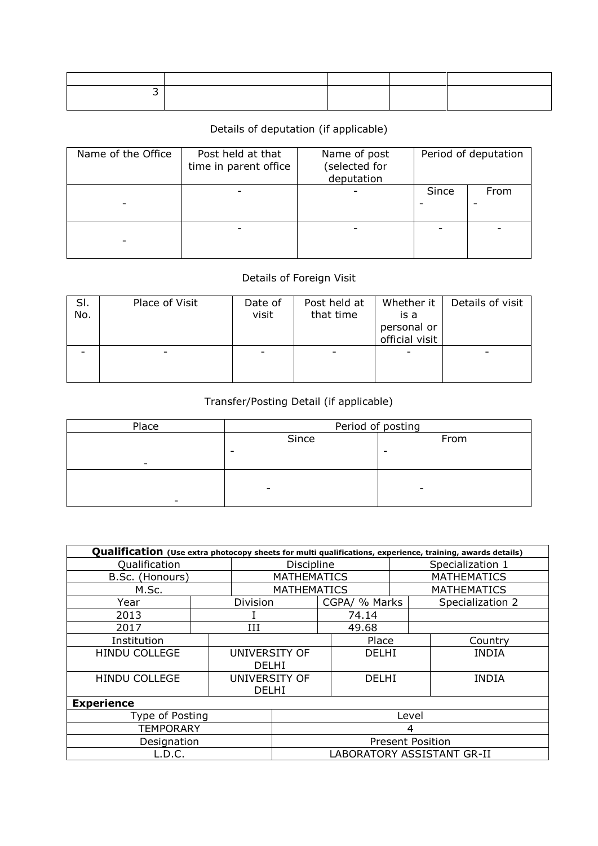## Details of deputation (if applicable)

| Name of the Office | Post held at that<br>time in parent office | Name of post<br>(selected for<br>deputation | Period of deputation |      |  |  |
|--------------------|--------------------------------------------|---------------------------------------------|----------------------|------|--|--|
|                    |                                            |                                             | Since                | From |  |  |
|                    |                                            |                                             |                      |      |  |  |

## Details of Foreign Visit

| SI.<br>No. | Place of Visit | Date of<br>visit | Post held at<br>that time | Whether it<br>is a<br>personal or<br>official visit | Details of visit |
|------------|----------------|------------------|---------------------------|-----------------------------------------------------|------------------|
|            |                | -                |                           |                                                     | -                |

## Transfer/Posting Detail (if applicable)

| Place                    | Period of posting        |      |  |  |  |  |
|--------------------------|--------------------------|------|--|--|--|--|
|                          | Since                    | From |  |  |  |  |
|                          |                          |      |  |  |  |  |
| $\overline{\phantom{0}}$ |                          |      |  |  |  |  |
|                          |                          |      |  |  |  |  |
|                          | $\overline{\phantom{0}}$ |      |  |  |  |  |
|                          |                          |      |  |  |  |  |

| Qualification (Use extra photocopy sheets for multi qualifications, experience, training, awards details) |                         |               |                            |                  |               |                    |                    |  |  |
|-----------------------------------------------------------------------------------------------------------|-------------------------|---------------|----------------------------|------------------|---------------|--------------------|--------------------|--|--|
| Qualification                                                                                             | <b>Discipline</b>       |               |                            | Specialization 1 |               |                    |                    |  |  |
| B.Sc. (Honours)                                                                                           |                         |               | <b>MATHEMATICS</b>         |                  |               | <b>MATHEMATICS</b> |                    |  |  |
| M.Sc.                                                                                                     |                         |               | <b>MATHEMATICS</b>         |                  |               |                    | <b>MATHEMATICS</b> |  |  |
| Year                                                                                                      |                         | Division      |                            |                  | CGPA/ % Marks |                    | Specialization 2   |  |  |
| 2013                                                                                                      |                         |               |                            |                  | 74.14         |                    |                    |  |  |
| 2017                                                                                                      |                         | III           |                            |                  | 49.68         |                    |                    |  |  |
| Institution                                                                                               |                         |               |                            |                  | Place         |                    | Country            |  |  |
| <b>HINDU COLLEGE</b>                                                                                      |                         | UNIVERSITY OF |                            |                  | DELHI         |                    | <b>INDIA</b>       |  |  |
|                                                                                                           |                         | <b>DELHI</b>  |                            |                  |               |                    |                    |  |  |
| <b>HINDU COLLEGE</b>                                                                                      |                         | UNIVERSITY OF |                            |                  | <b>DELHI</b>  |                    | <b>INDIA</b>       |  |  |
|                                                                                                           |                         | <b>DELHI</b>  |                            |                  |               |                    |                    |  |  |
| <b>Experience</b>                                                                                         |                         |               |                            |                  |               |                    |                    |  |  |
| Type of Posting                                                                                           | Level                   |               |                            |                  |               |                    |                    |  |  |
| <b>TEMPORARY</b>                                                                                          | 4                       |               |                            |                  |               |                    |                    |  |  |
| Designation                                                                                               | <b>Present Position</b> |               |                            |                  |               |                    |                    |  |  |
| L.D.C.                                                                                                    |                         |               | LABORATORY ASSISTANT GR-II |                  |               |                    |                    |  |  |